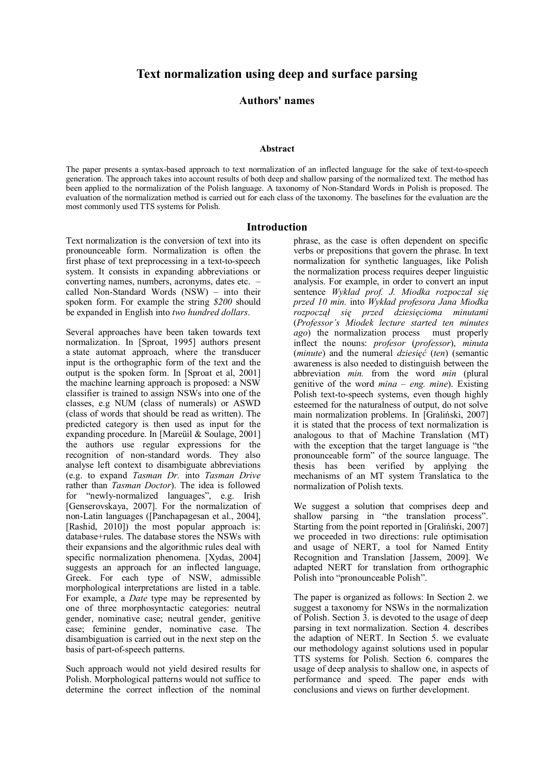**Authors' names**

#### **Abstract**

The paper presents a syntax-based approach to text normalization of an inflected language for the sake of text-to-speech generation. The approach takes into account results of both deep and shallow parsing of the normalized text. The method has been applied to the normalization of the Polish language. A taxonomy of Non-Standard Words in Polish is proposed. The evaluation of the normalization method is carried out for each class of the taxonomy. The baselines for the evaluation are the most commonly used TTS systems for Polish.

## **Introduction**

Text normalization is the conversion of text into its pronounceable form. Normalization is often the first phase of text preprocessing in a text-to-speech system. It consists in expanding abbreviations or converting names, numbers, acronyms, dates etc. – called Non-Standard Words (NSW) – into their spoken form. For example the string *\$200* should be expanded in English into *two hundred dollars*.

Several approaches have been taken towards text normalization. In [Sproat, 1995] authors present a state automat approach, where the transducer input is the orthographic form of the text and the output is the spoken form. In [Sproat et al, 2001] the machine learning approach is proposed: a NSW classifier is trained to assign NSWs into one of the classes, e.g NUM (class of numerals) or ASWD (class of words that should be read as written). The predicted category is then used as input for the expanding procedure. In [Mareüil & Soulage, 2001] the authors use regular expressions for the recognition of non-standard words. They also analyse left context to disambiguate abbreviations (e.g. to expand *Tasman Dr.* into *Tasman Drive* rather than *Tasman Doctor*). The idea is followed for "newly-normalized languages", e.g. Irish [Genserovskaya, 2007]. For the normalization of non-Latin languages ([Panchapagesan et al., 2004], [Rashid, 2010]) the most popular approach is: database+rules. The database stores the NSWs with their expansions and the algorithmic rules deal with specific normalization phenomena. [Xydas, 2004] suggests an approach for an inflected language. Greek. For each type of NSW, admissible morphological interpretations are listed in a table. For example, a *Date* type may be represented by one of three morphosyntactic categories: neutral gender, nominative case; neutral gender, genitive case; feminine gender, nominative case. The disambiguation is carried out in the next step on the basis of part-of-speech patterns.

Such approach would not yield desired results for Polish. Morphological patterns would not suffice to determine the correct inflection of the nominal

phrase, as the case is often dependent on specific verbs or prepositions that govern the phrase. In text normalization for synthetic languages, like Polish the normalization process requires deeper linguistic analysis. For example, in order to convert an input sentence *Wykład prof. J. Miodka rozpoczał się przed 10 min.* into *Wykład profesora Jana Miodka rozpoczął się przed dziesięcioma minutami* (*Professor's Miodek lecture started ten minutes ago*) the normalization process must properly inflect the nouns: *profesor* (*professor*), *minuta* (*minute*) and the numeral *dziesięć* (*ten*) (semantic awareness is also needed to distinguish between the abbreviation *min.* from the word *min* (plural genitive of the word *mina – eng. mine*). Existing Polish text-to-speech systems, even though highly esteemed for the naturalness of output, do not solve main normalization problems. In [Graliński, 2007] it is stated that the process of text normalization is analogous to that of Machine Translation (MT) with the exception that the target language is "the pronounceable form" of the source language. The thesis has been verified by applying the mechanisms of an MT system Translatica to the normalization of Polish texts.

We suggest a solution that comprises deep and shallow parsing in "the translation process". Starting from the point reported in [Graliński, 2007] we proceeded in two directions: rule optimisation and usage of NERT, a tool for Named Entity Recognition and Translation [Jassem, 2009]. We adapted NERT for translation from orthographic Polish into "pronounceable Polish".

The paper is organized as follows: In Section 2. we suggest a taxonomy for NSWs in the normalization of Polish. Section 3. is devoted to the usage of deep parsing in text normalization. Section 4. describes the adaption of NERT. In Section 5. we evaluate our methodology against solutions used in popular TTS systems for Polish. Section 6. compares the usage of deep analysis to shallow one, in aspects of performance and speed. The paper ends with conclusions and views on further development.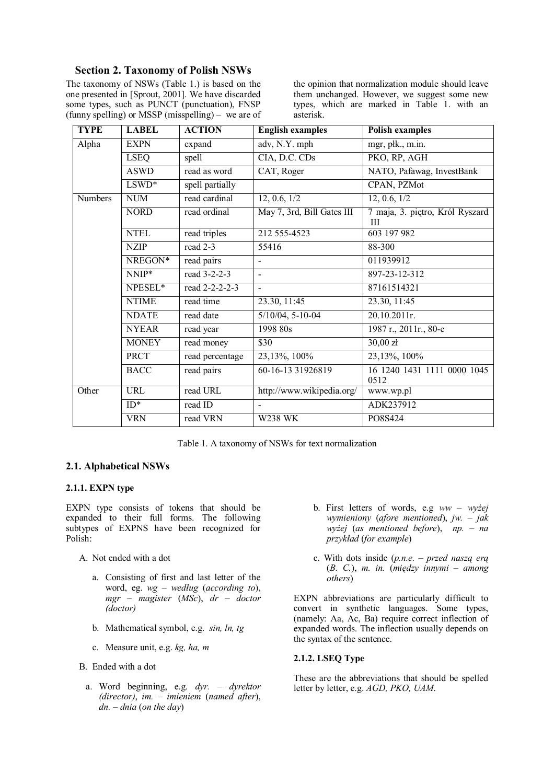# **Section 2. Taxonomy of Polish NSWs**

The taxonomy of NSWs (Table 1.) is based on the one presented in [Sprout, 2001]. We have discarded some types, such as PUNCT (punctuation), FNSP (funny spelling) or MSSP (misspelling) – we are of

the opinion that normalization module should leave them unchanged. However, we suggest some new types, which are marked in Table 1. with an asterisk.

| <b>TYPE</b>    | <b>LABEL</b> | <b>ACTION</b>   | <b>English examples</b>        | <b>Polish examples</b>               |  |
|----------------|--------------|-----------------|--------------------------------|--------------------------------------|--|
| Alpha          | <b>EXPN</b>  | expand          | adv, N.Y. mph                  | mgr, płk., m.in.                     |  |
|                | <b>LSEQ</b>  | spell           | CIA, D.C. CDs                  | PKO, RP, AGH                         |  |
|                | <b>ASWD</b>  | read as word    | CAT, Roger                     | NATO, Pafawag, InvestBank            |  |
|                | $LSWD*$      | spell partially |                                | CPAN, PZMot                          |  |
| <b>Numbers</b> | <b>NUM</b>   | read cardinal   | 12, 0.6, 1/2                   | 12, 0.6, 1/2                         |  |
|                | <b>NORD</b>  | read ordinal    | May 7, 3rd, Bill Gates III     | 7 maja, 3. piętro, Król Ryszard<br>Ш |  |
|                | <b>NTEL</b>  | read triples    | 212 555-4523                   | 603 197 982                          |  |
|                | <b>NZIP</b>  | read 2-3        | 55416                          | 88-300                               |  |
|                | NREGON*      | read pairs      |                                | 011939912                            |  |
|                | NNIP*        | read 3-2-2-3    |                                | 897-23-12-312                        |  |
|                | NPESEL*      | read 2-2-2-2-3  | $\blacksquare$                 | 87161514321                          |  |
|                | <b>NTIME</b> | read time       | 23.30, 11:45                   | 23.30, 11:45                         |  |
|                | <b>NDATE</b> | read date       | $5/10/04$ , $5-10-04$          | 20.10.2011r.                         |  |
|                | <b>NYEAR</b> | read year       | 1998 80s                       | 1987 r., 2011 r., 80-e               |  |
|                | <b>MONEY</b> | read money      | \$30                           | $30,00$ zł                           |  |
|                | <b>PRCT</b>  | read percentage | 23,13%, 100%                   | 23,13%, 100%                         |  |
|                | <b>BACC</b>  | read pairs      | $\overline{60-16-13}$ 31926819 | 16 1240 1431 1111 0000 1045<br>0512  |  |
| Other          | <b>URL</b>   | read URL        | http://www.wikipedia.org/      | www.wp.pl                            |  |
|                | $ID^*$       | read ID         |                                | ADK237912                            |  |
|                | <b>VRN</b>   | read VRN        | <b>W238 WK</b>                 | PO8S424                              |  |

Table 1. A taxonomy of NSWs for text normalization

# **2.1. Alphabetical NSWs**

## **2.1.1. EXPN type**

EXPN type consists of tokens that should be expanded to their full forms. The following subtypes of EXPNS have been recognized for Polish:

- A. Not ended with a dot
	- a. Consisting of first and last letter of the word, eg. *wg – według* (*according to*), *mgr* – *magister* (*MSc*), *dr* – *doctor (doctor)*
	- b. Mathematical symbol, e.g. *sin, ln, tg*
	- c. Measure unit, e.g. *kg, ha, m*
- B. Ended with a dot
	- a. Word beginning, e.g. *dyr. – dyrektor (director)*, *im. – imieniem* (*named after*), *dn.* – *dnia* (*on the day*)
- b. First letters of words, e.g *ww – wyżej wymieniony* (*afore mentioned*), *jw. – jak wyżej* (*as mentioned before*), *np.* – *na przykład* (*for example*)
- c. With dots inside (*p.n.e. – przed naszą erą* (*B. C.*), *m. in.* (*między innymi – among others*)

EXPN abbreviations are particularly difficult to convert in synthetic languages. Some types, (namely: Aa, Ac, Ba) require correct inflection of expanded words. The inflection usually depends on the syntax of the sentence.

## **2.1.2. LSEQ Type**

These are the abbreviations that should be spelled letter by letter, e.g. *AGD, PKO, UAM*.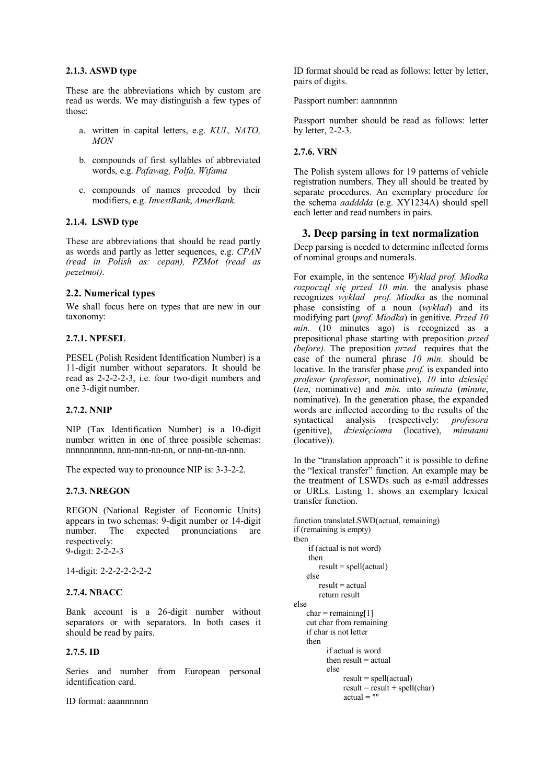## **2.1.3. ASWD type**

These are the abbreviations which by custom are read as words. We may distinguish a few types of those:

- a. written in capital letters, e.g. *KUL, NATO, MON*
- b. compounds of first syllables of abbreviated words, e.g. *Pafawag, Polfa, Wifama*
- c. compounds of names preceded by their modifiers, e.g. *InvestBank*, *AmerBank*.

## **2.1.4. LSWD type**

These are abbreviations that should be read partly as words and partly as letter sequences, e.g. *CPAN (read in Polish as: cepan), PZMot (read as pezetmot)*.

## **2.2. Numerical types**

We shall focus here on types that are new in our taxonomy:

## **2.7.1. NPESEL**

PESEL (Polish Resident Identification Number) is a 11-digit number without separators. It should be read as 2-2-2-2-3, i.e. four two-digit numbers and one 3-digit number.

#### **2.7.2. NNIP**

NIP (Tax Identification Number) is a 10-digit number written in one of three possible schemas: nnnnnnnnnn, nnn-nnn-nn-nn, or nnn-nn-nn-nnn.

The expected way to pronounce NIP is: 3-3-2-2.

#### **2.7.3. NREGON**

REGON (National Register of Economic Units) appears in two schemas: 9-digit number or 14-digit number. The expected pronunciations are respectively: 9-digit: 2-2-2-3

14-digit: 2-2-2-2-2-2-2

#### **2.7.4. NBACC**

Bank account is a 26-digit number without separators or with separators. In both cases it should be read by pairs.

## **2.7.5. ID**

Series and number from European personal identification card.

ID format: aaannnnnn

ID format should be read as follows: letter by letter, pairs of digits.

Passport number: aannnnnn

Passport number should be read as follows: letter by letter, 2-2-3.

## **2.7.6. VRN**

The Polish system allows for 19 patterns of vehicle registration numbers. They all should be treated by separate procedures. An exemplary procedure for the schema *aadddda* (e.g. XY1234A) should spell each letter and read numbers in pairs.

## **3. Deep parsing in text normalization**

Deep parsing is needed to determine inflected forms of nominal groups and numerals.

For example, in the sentence *Wykład prof. Miodka rozpoczął się przed 10 min.* the analysis phase recognizes *wykład prof. Miodka* as the nominal phase consisting of a noun (*wykład*) and its modifying part (*prof. Miodka*) in genitive. *Przed 10 min.* (10 minutes ago) is recognized as a prepositional phase starting with preposition *przed (before)*. The preposition *przed* requires that the case of the numeral phrase *10 min.* should be locative. In the transfer phase *prof.* is expanded into *profesor* (*professor*, nominative), *10* into *dziesięć* (*ten*, nominative) and *min.* into *minuta* (*minute*, nominative). In the generation phase, the expanded words are inflected according to the results of the syntactical analysis (respectively: *profesora* (genitive), *dziesięcioma* (locative), *minutami* (locative)).

In the "translation approach" it is possible to define the "lexical transfer" function. An example may be the treatment of LSWDs such as e-mail addresses or URLs. Listing 1. shows an exemplary lexical transfer function.

```
function translateLSWD(actual, remaining)
if (remaining is empty)
then 
     if (actual is not word)
     then
       result = spell(actual) else
       result = actual return result 
else 
   char = remaining[1] cut char from remaining
    if char is not letter
    then
          if actual is word
         then result = actual else
               result = spell(actual)result = result + spell(char)actual = "
```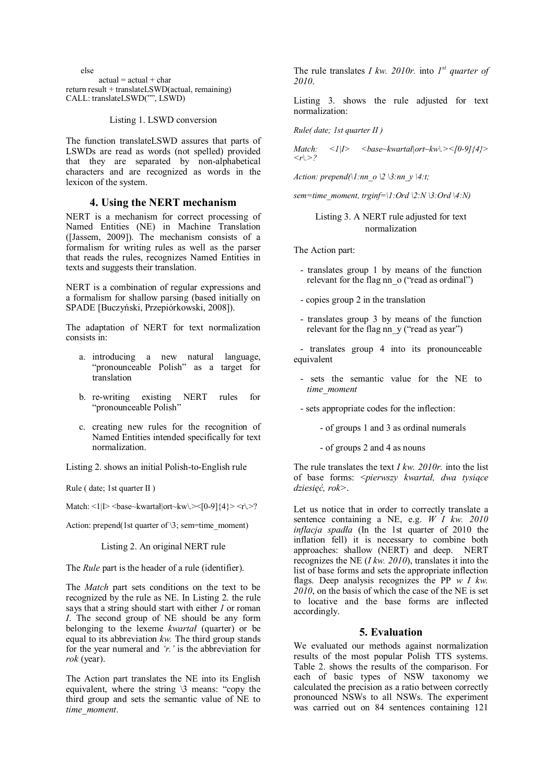else  $actual = actual + char$ return result + translateLSWD(actual, remaining) CALL: translateLSWD("", LSWD)

Listing 1. LSWD conversion

The function translateLSWD assures that parts of LSWDs are read as words (not spelled) provided that they are separated by non-alphabetical characters and are recognized as words in the lexicon of the system.

## **4. Using the NERT mechanism**

NERT is a mechanism for correct processing of Named Entities (NE) in Machine Translation ([Jassem, 2009]). The mechanism consists of a formalism for writing rules as well as the parser that reads the rules, recognizes Named Entities in texts and suggests their translation.

NERT is a combination of regular expressions and a formalism for shallow parsing (based initially on SPADE [Buczyński, Przepiórkowski, 2008]).

The adaptation of NERT for text normalization consists in:

- a. introducing a new natural language, "pronounceable Polish" as a target for translation
- b. re-writing existing NERT rules for "pronounceable Polish"
- c. creating new rules for the recognition of Named Entities intended specifically for text normalization.

Listing 2. shows an initial Polish-to-English rule

Rule (date: 1st quarter II)

Match:  $\langle 1|$ |>  $\langle$ base~kwartał|ort~kw\.> $\langle$ [0-9]{4}>  $\langle$ r\.>?

Action: prepend(1st quarter of  $\3$ ; sem=time\_moment)

### Listing 2. An original NERT rule

The *Rule* part is the header of a rule (identifier).

The *Match* part sets conditions on the text to be recognized by the rule as NE. In Listing 2. the rule says that a string should start with either *1* or roman *I*. The second group of NE should be any form belonging to the lexeme *kwartał* (quarter) or be equal to its abbreviation *kw.* The third group stands for the year numeral and *'r.'* is the abbreviation for *rok* (year).

The Action part translates the NE into its English equivalent, where the string \3 means: "copy the third group and sets the semantic value of NE to *time\_moment*.

The rule translates *I kw. 2010r.* into  $I^{st}$  *quarter of 2010*.

Listing 3. shows the rule adjusted for text normalization:

*Rule( date; 1st quarter II )*

*Match: <1|I> <base~kwartał|ort~kw\.><[0-9]{4}>*   $\langle r| > ?$ 

*Action: prepend(\1:nn\_o \2 \3:nn\_y \4:t;*

*sem=time\_moment, trginf=\1:Ord*  $\langle 2:N \rangle$ *3:Ord*  $\langle 4:N \rangle$ 

## Listing 3. A NERT rule adjusted for text normalization

The Action part:

- translates group 1 by means of the function relevant for the flag nn  $\alpha$  ("read as ordinal")
- copies group 2 in the translation
- translates group 3 by means of the function relevant for the flag nn y ("read as year")

- translates group 4 into its pronounceable equivalent

- sets the semantic value for the NE to *time\_moment*
- sets appropriate codes for the inflection:
	- of groups 1 and 3 as ordinal numerals
	- of groups 2 and 4 as nouns

The rule translates the text *I kw. 2010r.* into the list of base forms: <*pierwszy kwartał, dwa tysiące dziesięć, rok>*.

Let us notice that in order to correctly translate a sentence containing a NE, e.g. *W I kw. 2010 inflacja spadła* (In the 1st quarter of 2010 the inflation fell) it is necessary to combine both approaches: shallow (NERT) and deep. NERT recognizes the NE (*I kw. 2010*), translates it into the list of base forms and sets the appropriate inflection flags. Deep analysis recognizes the PP *w I kw. 2010*, on the basis of which the case of the NE is set to locative and the base forms are inflected accordingly.

#### **5. Evaluation**

We evaluated our methods against normalization results of the most popular Polish TTS systems. Table 2. shows the results of the comparison. For each of basic types of NSW taxonomy we calculated the precision as a ratio between correctly pronounced NSWs to all NSWs. The experiment was carried out on 84 sentences containing 121